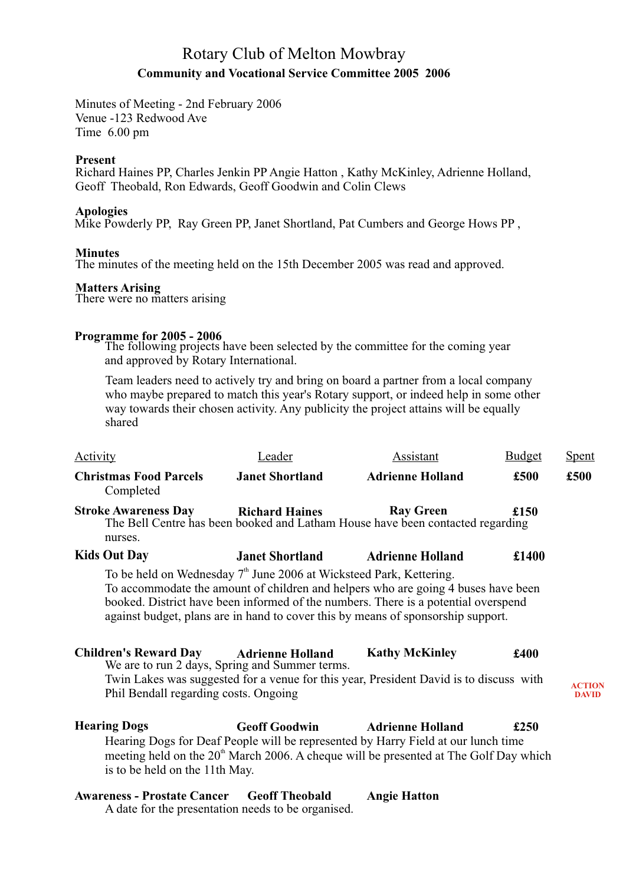# Rotary Club of Melton Mowbray **Community and Vocational Service Committee 2005 2006**

Minutes of Meeting - 2nd February 2006 Venue -123 Redwood Ave Time 6.00 pm

#### **Present**

Richard Haines PP, Charles Jenkin PP Angie Hatton , Kathy McKinley, Adrienne Holland, Geoff Theobald, Ron Edwards, Geoff Goodwin and Colin Clews

#### **Apologies**

Mike Powderly PP, Ray Green PP, Janet Shortland, Pat Cumbers and George Hows PP,

#### **Minutes**

The minutes of the meeting held on the 15th December 2005 was read and approved.

#### **Matters Arising**

There were no matters arising

### **Programme for 2005 - 2006**

The following projects have been selected by the committee for the coming year and approved by Rotary International.

Team leaders need to actively try and bring on board a partner from a local company who maybe prepared to match this year's Rotary support, or indeed help in some other way towards their chosen activity. Any publicity the project attains will be equally shared

| <b>Activity</b>                                                                                                                                                   | Leader                  | Assistant                                                                                                                                                                                                                                                                            | <b>Budget</b> | <u>Spent</u>                  |
|-------------------------------------------------------------------------------------------------------------------------------------------------------------------|-------------------------|--------------------------------------------------------------------------------------------------------------------------------------------------------------------------------------------------------------------------------------------------------------------------------------|---------------|-------------------------------|
| <b>Christmas Food Parcels</b><br>Completed                                                                                                                        | <b>Janet Shortland</b>  | <b>Adrienne Holland</b>                                                                                                                                                                                                                                                              | £500          | £500                          |
| <b>Stroke Awareness Day</b><br>nurses.                                                                                                                            | <b>Richard Haines</b>   | <b>Ray Green</b><br>The Bell Centre has been booked and Latham House have been contacted regarding                                                                                                                                                                                   | £150          |                               |
| <b>Kids Out Day</b>                                                                                                                                               | <b>Janet Shortland</b>  | <b>Adrienne Holland</b>                                                                                                                                                                                                                                                              | £1400         |                               |
| To be held on Wednesday 7 <sup>th</sup> June 2006 at Wicksteed Park, Kettering.<br><b>Children's Reward Day</b><br>We are to run 2 days, Spring and Summer terms. | <b>Adrienne Holland</b> | To accommodate the amount of children and helpers who are going 4 buses have been<br>booked. District have been informed of the numbers. There is a potential overspend<br>against budget, plans are in hand to cover this by means of sponsorship support.<br><b>Kathy McKinley</b> | £400          |                               |
| Phil Bendall regarding costs. Ongoing                                                                                                                             |                         | Twin Lakes was suggested for a venue for this year, President David is to discuss with                                                                                                                                                                                               |               | <b>ACTION</b><br><b>DAVID</b> |
| <b>Hearing Dogs</b><br>is to be held on the 11th May.                                                                                                             | <b>Geoff Goodwin</b>    | <b>Adrienne Holland</b><br>Hearing Dogs for Deaf People will be represented by Harry Field at our lunch time<br>meeting held on the 20 <sup>th</sup> March 2006. A cheque will be presented at The Golf Day which                                                                    | £250          |                               |
| <b>Awareness - Prostate Cancer</b>                                                                                                                                | <b>Geoff Theobald</b>   | <b>Angie Hatton</b>                                                                                                                                                                                                                                                                  |               |                               |

A date for the presentation needs to be organised.